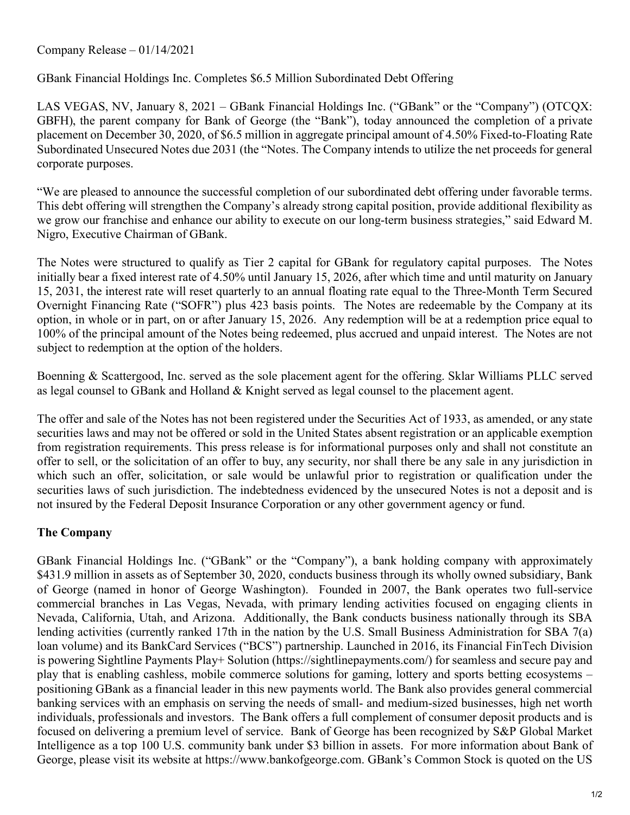Company Release – 01/14/2021

GBank Financial Holdings Inc. Completes \$6.5 Million Subordinated Debt Offering

LAS VEGAS, NV, January 8, 2021 – GBank Financial Holdings Inc. ("GBank" or the "Company") (OTCQX: GBFH), the parent company for Bank of George (the "Bank"), today announced the completion of a private placement on December 30, 2020, of \$6.5 million in aggregate principal amount of 4.50% Fixed-to-Floating Rate Subordinated Unsecured Notes due 2031 (the "Notes. The Company intends to utilize the net proceeds for general corporate purposes.

"We are pleased to announce the successful completion of our subordinated debt offering under favorable terms. This debt offering will strengthen the Company's already strong capital position, provide additional flexibility as we grow our franchise and enhance our ability to execute on our long-term business strategies," said Edward M. Nigro, Executive Chairman of GBank.

The Notes were structured to qualify as Tier 2 capital for GBank for regulatory capital purposes. The Notes initially bear a fixed interest rate of 4.50% until January 15, 2026, after which time and until maturity on January 15, 2031, the interest rate will reset quarterly to an annual floating rate equal to the Three-Month Term Secured Overnight Financing Rate ("SOFR") plus 423 basis points. The Notes are redeemable by the Company at its option, in whole or in part, on or after January 15, 2026. Any redemption will be at a redemption price equal to 100% of the principal amount of the Notes being redeemed, plus accrued and unpaid interest. The Notes are not subject to redemption at the option of the holders.

Boenning & Scattergood, Inc. served as the sole placement agent for the offering. Sklar Williams PLLC served as legal counsel to GBank and Holland & Knight served as legal counsel to the placement agent.

The offer and sale of the Notes has not been registered under the Securities Act of 1933, as amended, or any state securities laws and may not be offered or sold in the United States absent registration or an applicable exemption from registration requirements. This press release is for informational purposes only and shall not constitute an offer to sell, or the solicitation of an offer to buy, any security, nor shall there be any sale in any jurisdiction in which such an offer, solicitation, or sale would be unlawful prior to registration or qualification under the securities laws of such jurisdiction. The indebtedness evidenced by the unsecured Notes is not a deposit and is not insured by the Federal Deposit Insurance Corporation or any other government agency or fund.

## **The Company**

GBank Financial Holdings Inc. ("GBank" or the "Company"), a bank holding company with approximately \$431.9 million in assets as of September 30, 2020, conducts business through its wholly owned subsidiary, Bank of George (named in honor of George Washington). Founded in 2007, the Bank operates two full-service commercial branches in Las Vegas, Nevada, with primary lending activities focused on engaging clients in Nevada, California, Utah, and Arizona. Additionally, the Bank conducts business nationally through its SBA lending activities (currently ranked 17th in the nation by the U.S. Small Business Administration for SBA 7(a) loan volume) and its BankCard Services ("BCS") partnership. Launched in 2016, its Financial FinTech Division is powering Sightline Payments Play+ Solution (https://sightlinepayments.com/) for seamless and secure pay and play that is enabling cashless, mobile commerce solutions for gaming, lottery and sports betting ecosystems – positioning GBank as a financial leader in this new payments world. The Bank also provides general commercial banking services with an emphasis on serving the needs of small- and medium-sized businesses, high net worth individuals, professionals and investors. The Bank offers a full complement of consumer deposit products and is focused on delivering a premium level of service. Bank of George has been recognized by S&P Global Market Intelligence as a top 100 U.S. community bank under \$3 billion in assets. For more information about Bank of George, please visit its website at https://www.bankofgeorge.com. GBank's Common Stock is quoted on the US